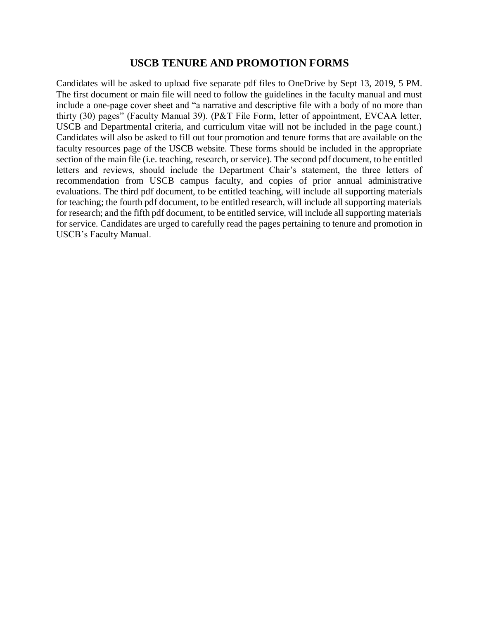## **USCB TENURE AND PROMOTION FORMS**

Candidates will be asked to upload five separate pdf files to OneDrive by Sept 13, 2019, 5 PM. The first document or main file will need to follow the guidelines in the faculty manual and must include a one-page cover sheet and "a narrative and descriptive file with a body of no more than thirty (30) pages" (Faculty Manual 39). (P&T File Form, letter of appointment, EVCAA letter, USCB and Departmental criteria, and curriculum vitae will not be included in the page count.) Candidates will also be asked to fill out four promotion and tenure forms that are available on the faculty resources page of the USCB website. These forms should be included in the appropriate section of the main file (i.e. teaching, research, or service). The second pdf document, to be entitled letters and reviews, should include the Department Chair's statement, the three letters of recommendation from USCB campus faculty, and copies of prior annual administrative evaluations. The third pdf document, to be entitled teaching, will include all supporting materials for teaching; the fourth pdf document, to be entitled research, will include all supporting materials for research; and the fifth pdf document, to be entitled service, will include all supporting materials for service. Candidates are urged to carefully read the pages pertaining to tenure and promotion in USCB's Faculty Manual.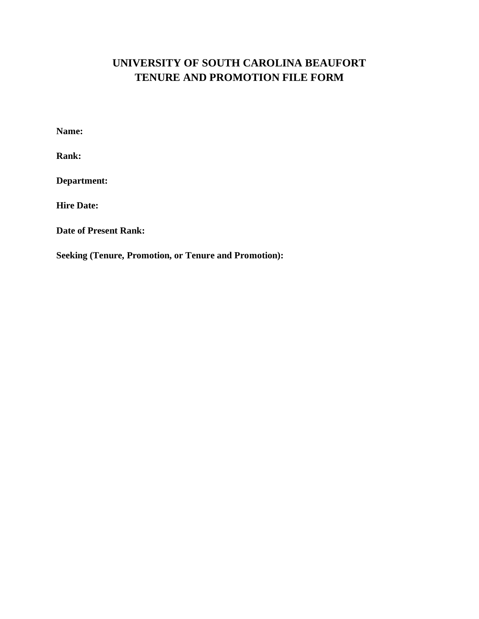## **UNIVERSITY OF SOUTH CAROLINA BEAUFORT TENURE AND PROMOTION FILE FORM**

**Name:**

**Rank:**

**Department:**

**Hire Date:**

**Date of Present Rank:**

**Seeking (Tenure, Promotion, or Tenure and Promotion):**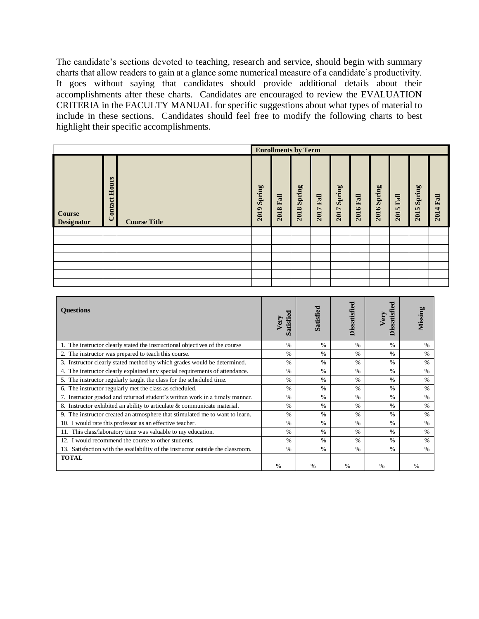The candidate's sections devoted to teaching, research and service, should begin with summary charts that allow readers to gain at a glance some numerical measure of a candidate's productivity. It goes without saying that candidates should provide additional details about their accomplishments after these charts. Candidates are encouraged to review the EVALUATION CRITERIA in the FACULTY MANUAL for specific suggestions about what types of material to include in these sections. Candidates should feel free to modify the following charts to best highlight their specific accomplishments.

|                                    |                  |                     | <b>Enrollments by Term</b> |              |                |              |                |                  |                |                          |                               |                  |
|------------------------------------|------------------|---------------------|----------------------------|--------------|----------------|--------------|----------------|------------------|----------------|--------------------------|-------------------------------|------------------|
| <b>Course</b><br><b>Designator</b> | Hours<br>Contact | <b>Course Title</b> | Spring<br>$\bullet$<br>201 | Fall<br>2018 | Spring<br>2018 | Fall<br>2017 | Spring<br>2017 | <b>2016 Fall</b> | Spring<br>2016 | Fall<br><b>In</b><br>201 | Spring<br>$\mathbf{u}$<br>201 | <b>2014 Fall</b> |
|                                    |                  |                     |                            |              |                |              |                |                  |                |                          |                               |                  |
|                                    |                  |                     |                            |              |                |              |                |                  |                |                          |                               |                  |
|                                    |                  |                     |                            |              |                |              |                |                  |                |                          |                               |                  |
|                                    |                  |                     |                            |              |                |              |                |                  |                |                          |                               |                  |
|                                    |                  |                     |                            |              |                |              |                |                  |                |                          |                               |                  |
|                                    |                  |                     |                            |              |                |              |                |                  |                |                          |                               |                  |
|                                    |                  |                     |                            |              |                |              |                |                  |                |                          |                               |                  |

| <b>Ouestions</b>                                                                | Very<br>Satisf | <b>Satisfied</b> | <b>Dissatisfied</b> | ಕ<br><b>Dissatisfi</b><br>Very | Missing       |
|---------------------------------------------------------------------------------|----------------|------------------|---------------------|--------------------------------|---------------|
| 1. The instructor clearly stated the instructional objectives of the course     | $\%$           | $\%$             | $\%$                | $\frac{0}{0}$                  | $\frac{0}{0}$ |
| 2. The instructor was prepared to teach this course.                            | $\%$           | $\%$             | $\%$                | $\frac{0}{0}$                  | $\%$          |
| 3. Instructor clearly stated method by which grades would be determined.        | $\%$           | $\frac{0}{0}$    | $\%$                | $\frac{0}{0}$                  | $\%$          |
| 4. The instructor clearly explained any special requirements of attendance.     | $\%$           | $\frac{0}{0}$    | $\%$                | $\frac{0}{0}$                  | $\frac{0}{0}$ |
| 5. The instructor regularly taught the class for the scheduled time.            | $\%$           | $\%$             | $\%$                | $\frac{0}{0}$                  | $\%$          |
| 6. The instructor regularly met the class as scheduled.                         | $\%$           | $\frac{0}{0}$    | $\frac{0}{0}$       | $\frac{0}{0}$                  | $\%$          |
| 7. Instructor graded and returned student's written work in a timely manner.    | $\%$           | $\frac{0}{0}$    | $\%$                | $\frac{0}{0}$                  | $\%$          |
| 8. Instructor exhibited an ability to articulate & communicate material.        | $\%$           | $\frac{0}{0}$    | $\%$                | $\frac{0}{0}$                  | $\%$          |
| 9. The instructor created an atmosphere that stimulated me to want to learn.    | $\%$           | $\%$             | $\%$                | $\frac{0}{0}$                  | $\frac{0}{0}$ |
| 10. I would rate this professor as an effective teacher.                        | $\%$           | $\%$             | $\%$                | $\frac{0}{0}$                  | $\%$          |
| 11. This class/laboratory time was valuable to my education.                    | $\%$           | $\frac{0}{0}$    | $\%$                | $\frac{0}{0}$                  | $\%$          |
| 12. I would recommend the course to other students.                             | $\%$           | $\frac{0}{0}$    | $\%$                | $\frac{0}{0}$                  | $\%$          |
| 13. Satisfaction with the availability of the instructor outside the classroom. | $\%$           | $\frac{0}{0}$    | $\frac{0}{0}$       | $\frac{0}{0}$                  | $\%$          |
| <b>TOTAL</b>                                                                    |                |                  |                     |                                |               |
|                                                                                 | $\%$           | $\frac{0}{0}$    | $\frac{0}{0}$       | %                              | $\frac{0}{0}$ |